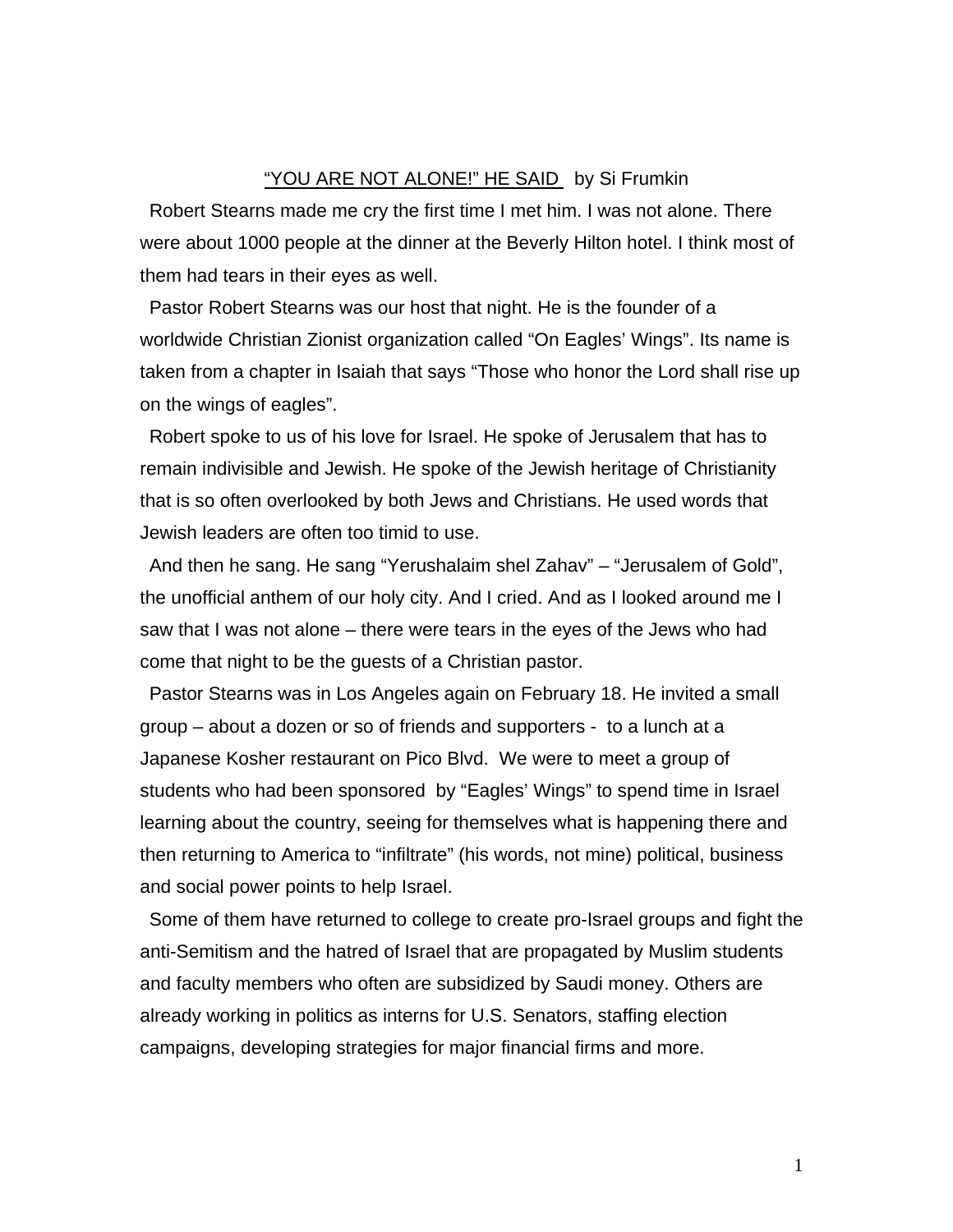## "YOU ARE NOT ALONE!" HE SAID by Si Frumkin

Robert Stearns made me cry the first time I met him. I was not alone. There were about 1000 people at the dinner at the Beverly Hilton hotel. I think most of them had tears in their eyes as well.

Pastor Robert Stearns was our host that night. He is the founder of a worldwide Christian Zionist organization called "On Eagles' Wings". Its name is taken from a chapter in Isaiah that says "Those who honor the Lord shall rise up on the wings of eagles".

Robert spoke to us of his love for Israel. He spoke of Jerusalem that has to remain indivisible and Jewish. He spoke of the Jewish heritage of Christianity that is so often overlooked by both Jews and Christians. He used words that Jewish leaders are often too timid to use.

And then he sang. He sang "Yerushalaim shel Zahav" – "Jerusalem of Gold", the unofficial anthem of our holy city. And I cried. And as I looked around me I saw that I was not alone – there were tears in the eyes of the Jews who had come that night to be the guests of a Christian pastor.

Pastor Stearns was in Los Angeles again on February 18. He invited a small group – about a dozen or so of friends and supporters - to a lunch at a Japanese Kosher restaurant on Pico Blvd. We were to meet a group of students who had been sponsored by "Eagles' Wings" to spend time in Israel learning about the country, seeing for themselves what is happening there and then returning to America to "infiltrate" (his words, not mine) political, business and social power points to help Israel.

Some of them have returned to college to create pro-Israel groups and fight the anti-Semitism and the hatred of Israel that are propagated by Muslim students and faculty members who often are subsidized by Saudi money. Others are already working in politics as interns for U.S. Senators, staffing election campaigns, developing strategies for major financial firms and more.

1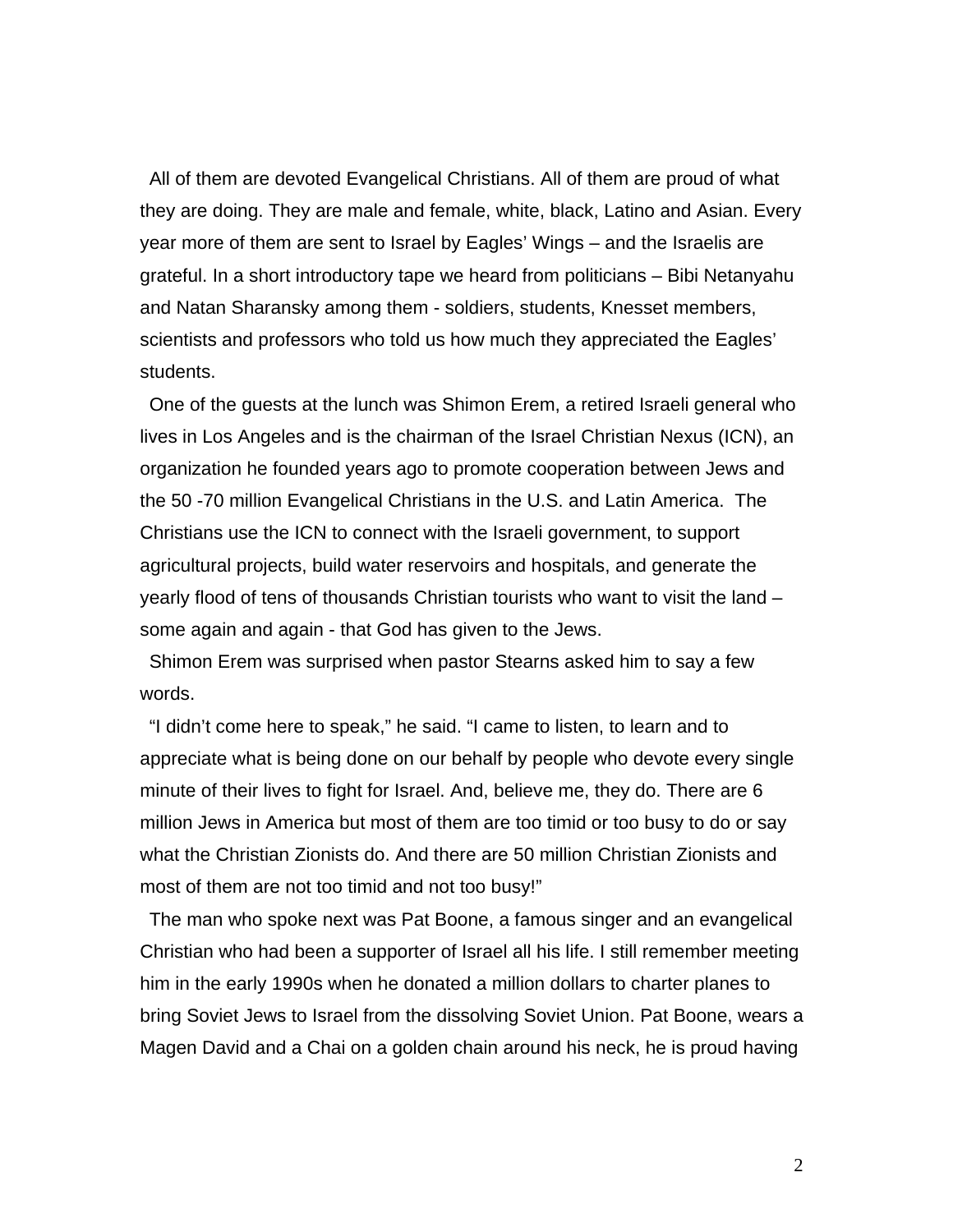All of them are devoted Evangelical Christians. All of them are proud of what they are doing. They are male and female, white, black, Latino and Asian. Every year more of them are sent to Israel by Eagles' Wings – and the Israelis are grateful. In a short introductory tape we heard from politicians – Bibi Netanyahu and Natan Sharansky among them - soldiers, students, Knesset members, scientists and professors who told us how much they appreciated the Eagles' students.

One of the guests at the lunch was Shimon Erem, a retired Israeli general who lives in Los Angeles and is the chairman of the Israel Christian Nexus (ICN), an organization he founded years ago to promote cooperation between Jews and the 50 -70 million Evangelical Christians in the U.S. and Latin America. The Christians use the ICN to connect with the Israeli government, to support agricultural projects, build water reservoirs and hospitals, and generate the yearly flood of tens of thousands Christian tourists who want to visit the land – some again and again - that God has given to the Jews.

Shimon Erem was surprised when pastor Stearns asked him to say a few words.

"I didn't come here to speak," he said. "I came to listen, to learn and to appreciate what is being done on our behalf by people who devote every single minute of their lives to fight for Israel. And, believe me, they do. There are 6 million Jews in America but most of them are too timid or too busy to do or say what the Christian Zionists do. And there are 50 million Christian Zionists and most of them are not too timid and not too busy!"

The man who spoke next was Pat Boone, a famous singer and an evangelical Christian who had been a supporter of Israel all his life. I still remember meeting him in the early 1990s when he donated a million dollars to charter planes to bring Soviet Jews to Israel from the dissolving Soviet Union. Pat Boone, wears a Magen David and a Chai on a golden chain around his neck, he is proud having

2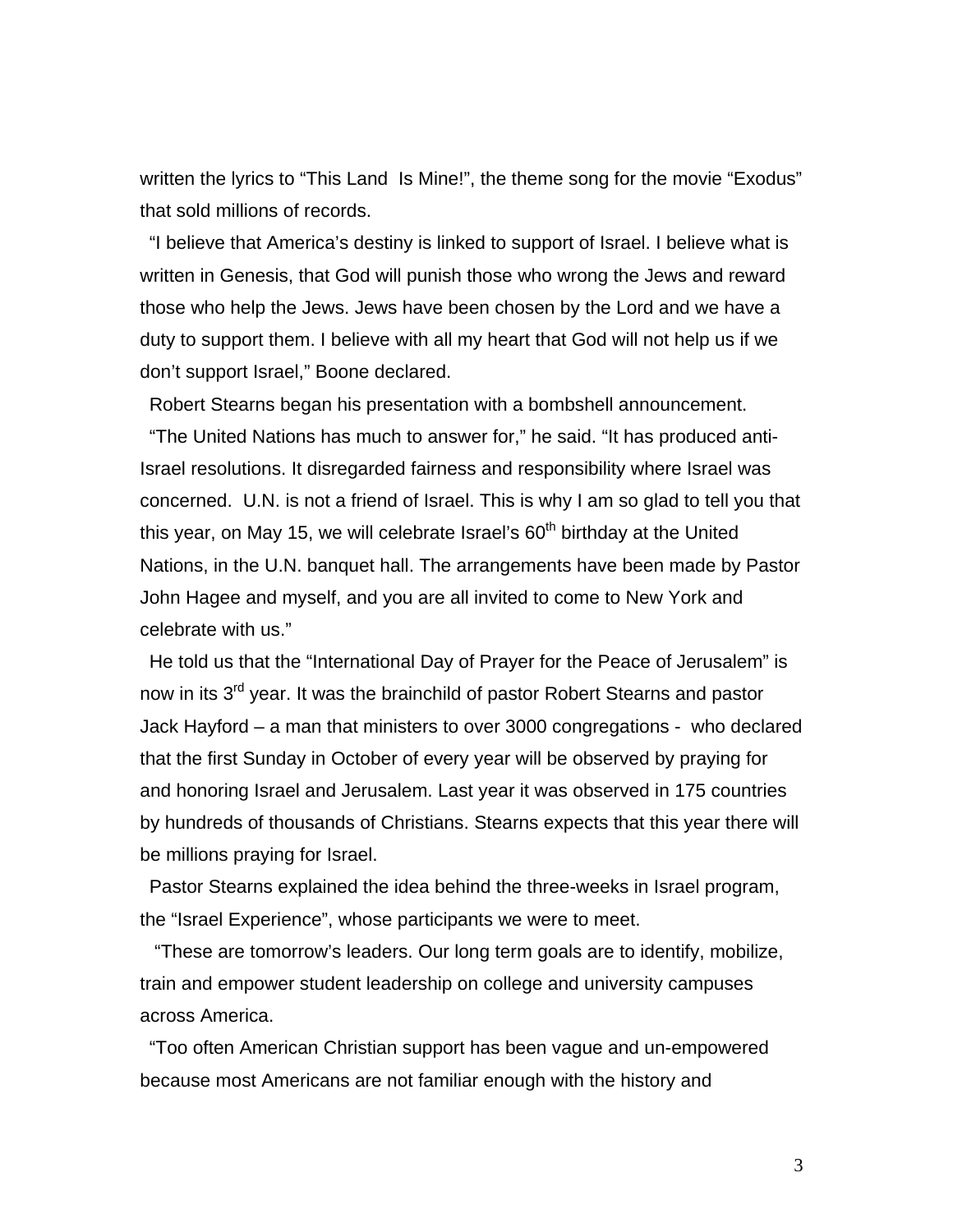written the lyrics to "This Land Is Mine!", the theme song for the movie "Exodus" that sold millions of records.

"I believe that America's destiny is linked to support of Israel. I believe what is written in Genesis, that God will punish those who wrong the Jews and reward those who help the Jews. Jews have been chosen by the Lord and we have a duty to support them. I believe with all my heart that God will not help us if we don't support Israel," Boone declared.

Robert Stearns began his presentation with a bombshell announcement. "The United Nations has much to answer for," he said. "It has produced anti-Israel resolutions. It disregarded fairness and responsibility where Israel was concerned. U.N. is not a friend of Israel. This is why I am so glad to tell you that this year, on May 15, we will celebrate Israel's  $60<sup>th</sup>$  birthday at the United Nations, in the U.N. banquet hall. The arrangements have been made by Pastor John Hagee and myself, and you are all invited to come to New York and celebrate with us."

He told us that the "International Day of Prayer for the Peace of Jerusalem" is now in its 3<sup>rd</sup> year. It was the brainchild of pastor Robert Stearns and pastor Jack Hayford – a man that ministers to over 3000 congregations - who declared that the first Sunday in October of every year will be observed by praying for and honoring Israel and Jerusalem. Last year it was observed in 175 countries by hundreds of thousands of Christians. Stearns expects that this year there will be millions praying for Israel.

Pastor Stearns explained the idea behind the three-weeks in Israel program, the "Israel Experience", whose participants we were to meet.

 "These are tomorrow's leaders. Our long term goals are to identify, mobilize, train and empower student leadership on college and university campuses across America.

"Too often American Christian support has been vague and un-empowered because most Americans are not familiar enough with the history and